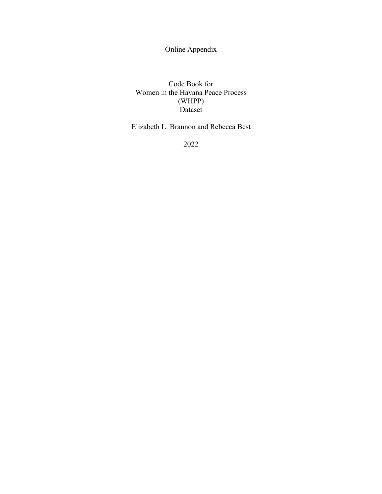Online Appendix

Code Book for Women in the Havana Peace Process (WHPP) Dataset

Elizabeth L. Brannon and Rebecca Best

2022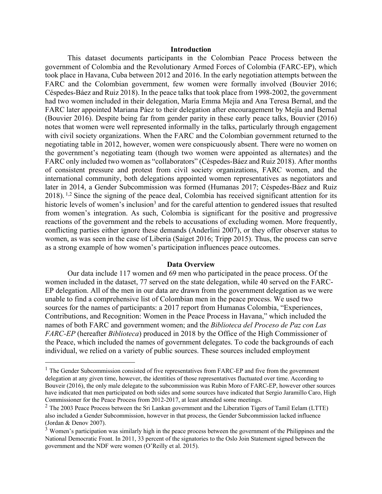## **Introduction**

This dataset documents participants in the Colombian Peace Process between the government of Colombia and the Revolutionary Armed Forces of Colombia (FARC-EP), which took place in Havana, Cuba between 2012 and 2016. In the early negotiation attempts between the FARC and the Colombian government, few women were formally involved (Bouvier 2016; Céspedes-Báez and Ruiz 2018). In the peace talks that took place from 1998-2002, the government had two women included in their delegation, María Emma Mejía and Ana Teresa Bernal, and the FARC later appointed Mariana Páez to their delegation after encouragement by Mejía and Bernal (Bouvier 2016). Despite being far from gender parity in these early peace talks, Bouvier (2016) notes that women were well represented informally in the talks, particularly through engagement with civil society organizations. When the FARC and the Colombian government returned to the negotiating table in 2012, however, women were conspicuously absent. There were no women on the government's negotiating team (though two women were appointed as alternates) and the FARC only included two women as "collaborators" (Céspedes-Báez and Ruiz 2018). After months of consistent pressure and protest from civil society organizations, FARC women, and the international community, both delegations appointed women representatives as negotiators and later in 2014, a Gender Subcommission was formed (Humanas 2017; Céspedes-Báez and Ruiz 2018). <sup>1,2</sup> Since the signing of the peace deal, Colombia has received significant attention for its historic levels of women's inclusion<sup>3</sup> and for the careful attention to gendered issues that resulted from women's integration. As such, Colombia is significant for the positive and progressive reactions of the government and the rebels to accusations of excluding women. More frequently, conflicting parties either ignore these demands (Anderlini 2007), or they offer observer status to women, as was seen in the case of Liberia (Saiget 2016; Tripp 2015). Thus, the process can serve as a strong example of how women's participation influences peace outcomes.

## **Data Overview**

Our data include 117 women and 69 men who participated in the peace process. Of the women included in the dataset, 77 served on the state delegation, while 40 served on the FARC-EP delegation. All of the men in our data are drawn from the government delegation as we were unable to find a comprehensive list of Colombian men in the peace process. We used two sources for the names of participants: a 2017 report from Humanas Colombia, "Experiences, Contributions, and Recognition: Women in the Peace Process in Havana," which included the names of both FARC and government women; and the *Biblioteca del Proceso de Paz con Las FARC-EP* (hereafter *Biblioteca*) produced in 2018 by the Office of the High Commissioner of the Peace, which included the names of government delegates. To code the backgrounds of each individual, we relied on a variety of public sources. These sources included employment

 $1$  The Gender Subcommission consisted of five representatives from FARC-EP and five from the government delegation at any given time, however, the identities of those representatives fluctuated over time. According to Bouveir (2016), the only male delegate to the subcommission was Rubin Moro of FARC-EP, however other sources have indicated that men participated on both sides and some sources have indicated that Sergio Jaramillo Caro, High Commissioner for the Peace Process from 2012-2017, at least attended some meetings.

 $2$  The 2003 Peace Process between the Sri Lankan government and the Liberation Tigers of Tamil Eelam (LTTE) also included a Gender Subcommission, however in that process, the Gender Subcommission lacked influence (Jordan & Denov 2007).

<sup>&</sup>lt;sup>3</sup> Women's participation was similarly high in the peace process between the government of the Philippines and the National Democratic Front. In 2011, 33 percent of the signatories to the Oslo Join Statement signed between the government and the NDF were women (O'Reilly et al. 2015).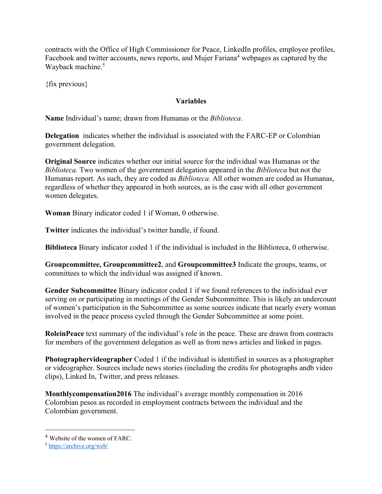contracts with the Office of High Commissioner for Peace, LinkedIn profiles, employee profiles, Facebook and twitter accounts, news reports, and Mujer Fariana<sup>4</sup> webpages as captured by the Wayback machine. 5

{fix previous}

## **Variables**

**Name** Individual's name; drawn from Humanas or the *Biblioteca*.

**Delegation** indicates whether the individual is associated with the FARC-EP or Colombian government delegation.

**Original Source** indicates whether our initial source for the individual was Humanas or the *Biblioteca.* Two women of the government delegation appeared in the *Biblioteca* but not the Humanas report. As such, they are coded as *Biblioteca.* All other women are coded as Humanas, regardless of whether they appeared in both sources, as is the case with all other government women delegates.

**Woman** Binary indicator coded 1 if Woman, 0 otherwise.

**Twitter** indicates the individual's twitter handle, if found.

**Biblioteca** Binary indicator coded 1 if the individual is included in the Biblioteca, 0 otherwise.

**Groupcommittee, Groupcommittee2**, and **Groupcommittee3** Indicate the groups, teams, or committees to which the individual was assigned if known.

**Gender Subcommittee** Binary indicator coded 1 if we found references to the individual ever serving on or participating in meetings of the Gender Subcommittee. This is likely an undercount of women's participation in the Subcommittee as some sources indicate that nearly every woman involved in the peace process cycled through the Gender Subcommittee at some point.

**RoleinPeace** text summary of the individual's role in the peace. These are drawn from contracts for members of the government delegation as well as from news articles and linked in pages.

**Photographervideographer** Coded 1 if the individual is identified in sources as a photographer or videographer. Sources include news stories (including the credits for photographs andb video clips), Linked In, Twitter, and press releases.

**Monthlycompensation2016** The individual's average monthly compensation in 2016 Colombian pesos as recorded in employment contracts between the individual and the Colombian government.

<sup>4</sup> Website of the women of FARC.

<sup>5</sup> https://archive.org/web/